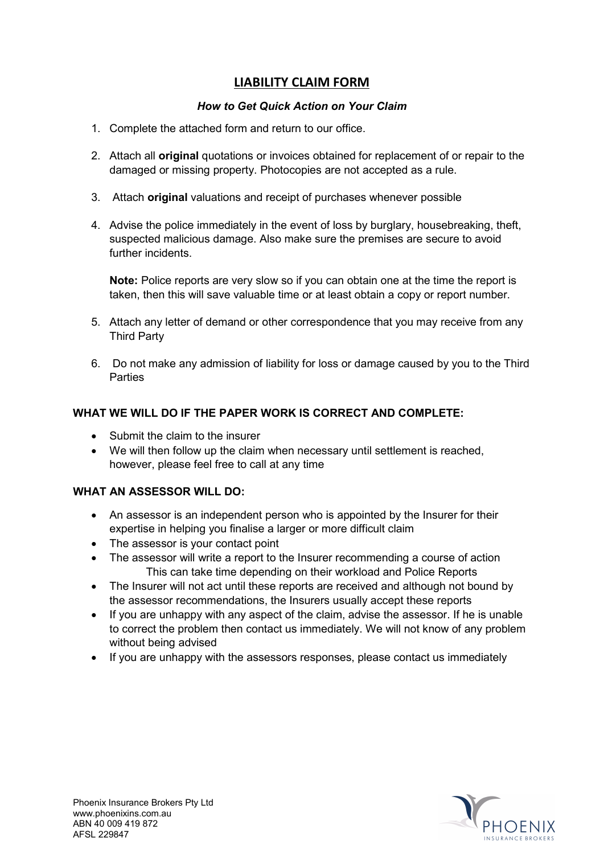## **LIABILITY CLAIM FORM**

### *How to Get Quick Action on Your Claim*

- 1. Complete the attached form and return to our office.
- 2. Attach all **original** quotations or invoices obtained for replacement of or repair to the damaged or missing property. Photocopies are not accepted as a rule.
- 3. Attach **original** valuations and receipt of purchases whenever possible
- 4. Advise the police immediately in the event of loss by burglary, housebreaking, theft, suspected malicious damage. Also make sure the premises are secure to avoid further incidents.

**Note:** Police reports are very slow so if you can obtain one at the time the report is taken, then this will save valuable time or at least obtain a copy or report number.

- 5. Attach any letter of demand or other correspondence that you may receive from any Third Party
- 6. Do not make any admission of liability for loss or damage caused by you to the Third Parties

## **WHAT WE WILL DO IF THE PAPER WORK IS CORRECT AND COMPLETE:**

- Submit the claim to the insurer
- We will then follow up the claim when necessary until settlement is reached, however, please feel free to call at any time

## **WHAT AN ASSESSOR WILL DO:**

- An assessor is an independent person who is appointed by the Insurer for their expertise in helping you finalise a larger or more difficult claim
- The assessor is your contact point
- The assessor will write a report to the Insurer recommending a course of action This can take time depending on their workload and Police Reports
- The Insurer will not act until these reports are received and although not bound by the assessor recommendations, the Insurers usually accept these reports
- If you are unhappy with any aspect of the claim, advise the assessor. If he is unable to correct the problem then contact us immediately. We will not know of any problem without being advised
- If you are unhappy with the assessors responses, please contact us immediately

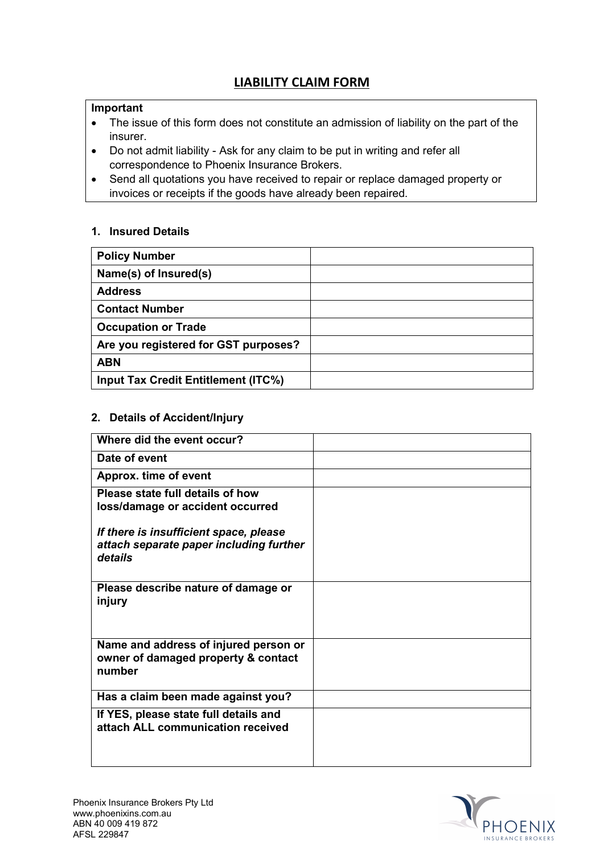# **LIABILITY CLAIM FORM**

### **Important**

- The issue of this form does not constitute an admission of liability on the part of the insurer.
- Do not admit liability Ask for any claim to be put in writing and refer all correspondence to Phoenix Insurance Brokers.
- Send all quotations you have received to repair or replace damaged property or invoices or receipts if the goods have already been repaired.

#### **1. Insured Details**

| <b>Policy Number</b>                       |  |
|--------------------------------------------|--|
| Name(s) of Insured(s)                      |  |
| <b>Address</b>                             |  |
| <b>Contact Number</b>                      |  |
| <b>Occupation or Trade</b>                 |  |
| Are you registered for GST purposes?       |  |
| <b>ABN</b>                                 |  |
| <b>Input Tax Credit Entitlement (ITC%)</b> |  |

### **2. Details of Accident/Injury**

| Where did the event occur?                                                                   |  |
|----------------------------------------------------------------------------------------------|--|
| Date of event                                                                                |  |
| Approx. time of event                                                                        |  |
| Please state full details of how<br>loss/damage or accident occurred                         |  |
| If there is insufficient space, please<br>attach separate paper including further<br>details |  |
| Please describe nature of damage or<br>injury                                                |  |
| Name and address of injured person or<br>owner of damaged property & contact<br>number       |  |
| Has a claim been made against you?                                                           |  |
| If YES, please state full details and<br>attach ALL communication received                   |  |